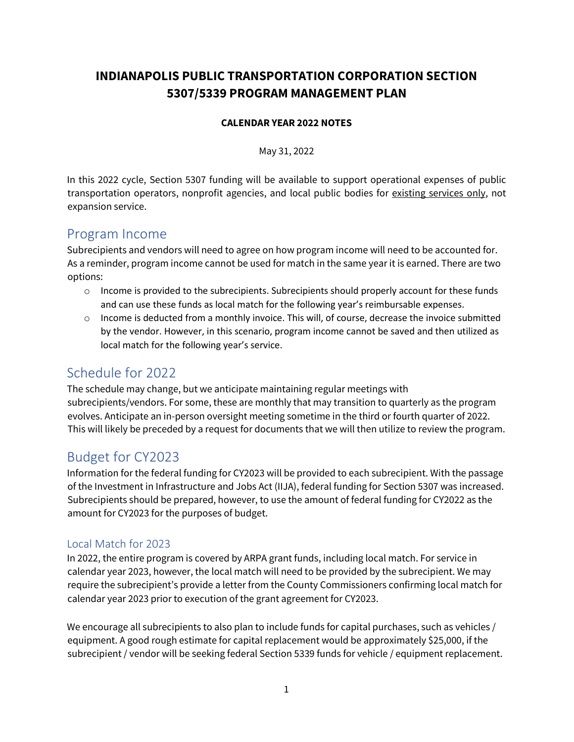# **INDIANAPOLIS PUBLIC TRANSPORTATION CORPORATION SECTION 5307/5339 PROGRAM MANAGEMENT PLAN**

#### **CALENDAR YEAR 2022 NOTES**

May 31, 2022

In this 2022 cycle, Section 5307 funding will be available to support operational expenses of public transportation operators, nonprofit agencies, and local public bodies for existing services only, not expansion service.

### Program Income

Subrecipients and vendors will need to agree on how program income will need to be accounted for. As a reminder, program income cannot be used for match in the same year it is earned. There are two options:

- $\circ$  Income is provided to the subrecipients. Subrecipients should properly account for these funds and can use these funds as local match for the following year's reimbursable expenses.
- $\circ$  Income is deducted from a monthly invoice. This will, of course, decrease the invoice submitted by the vendor. However, in this scenario, program income cannot be saved and then utilized as local match for the following year's service.

# Schedule for 2022

The schedule may change, but we anticipate maintaining regular meetings with subrecipients/vendors. For some, these are monthly that may transition to quarterly as the program evolves. Anticipate an in-person oversight meeting sometime in the third or fourth quarter of 2022. This will likely be preceded by a request for documents that we will then utilize to review the program.

# Budget for CY2023

Information for the federal funding for CY2023 will be provided to each subrecipient. With the passage of the Investment in Infrastructure and Jobs Act (IIJA), federal funding for Section 5307 was increased. Subrecipients should be prepared, however, to use the amount of federal funding for CY2022 as the amount for CY2023 for the purposes of budget.

### Local Match for 2023

In 2022, the entire program is covered by ARPA grant funds, including local match. For service in calendar year 2023, however, the local match will need to be provided by the subrecipient. We may require the subrecipient's provide a letter from the County Commissioners confirming local match for calendar year 2023 prior to execution of the grant agreement for CY2023.

We encourage all subrecipients to also plan to include funds for capital purchases, such as vehicles / equipment. A good rough estimate for capital replacement would be approximately \$25,000, if the subrecipient / vendor will be seeking federal Section 5339 funds for vehicle / equipment replacement.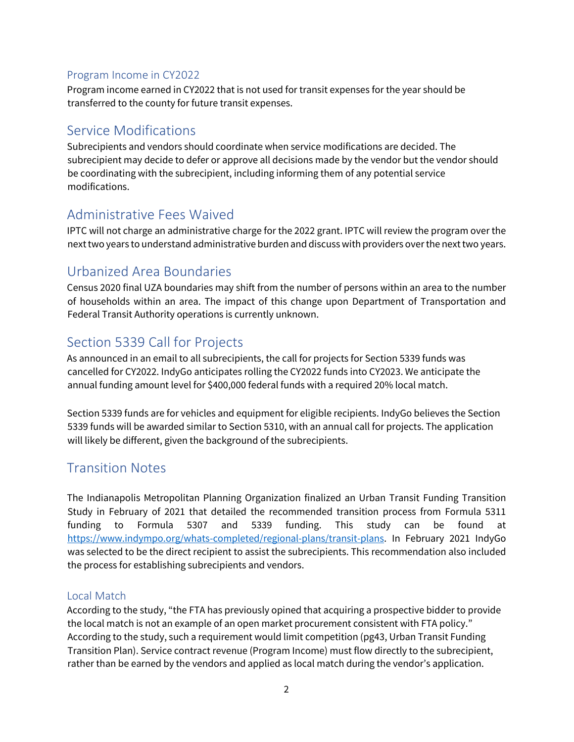### Program Income in CY2022

Program income earned in CY2022 that is not used for transit expenses for the year should be transferred to the county for future transit expenses.

# Service Modifications

Subrecipients and vendors should coordinate when service modifications are decided. The subrecipient may decide to defer or approve all decisions made by the vendor but the vendor should be coordinating with the subrecipient, including informing them of any potential service modifications.

## Administrative Fees Waived

IPTC will not charge an administrative charge for the 2022 grant. IPTC will review the program over the next two years to understand administrative burden and discuss with providers over the next two years.

## Urbanized Area Boundaries

Census 2020 final UZA boundaries may shift from the number of persons within an area to the number of households within an area. The impact of this change upon Department of Transportation and Federal Transit Authority operations is currently unknown.

## Section 5339 Call for Projects

As announced in an email to all subrecipients, the call for projects for Section 5339 funds was cancelled for CY2022. IndyGo anticipates rolling the CY2022 funds into CY2023. We anticipate the annual funding amount level for \$400,000 federal funds with a required 20% local match.

Section 5339 funds are for vehicles and equipment for eligible recipients. IndyGo believes the Section 5339 funds will be awarded similar to Section 5310, with an annual call for projects. The application will likely be different, given the background of the subrecipients.

# Transition Notes

The Indianapolis Metropolitan Planning Organization finalized an Urban Transit Funding Transition Study in February of 2021 that detailed the recommended transition process from Formula 5311 funding to Formula 5307 and 5339 funding. This study can be found at [https://www.indympo.org/whats-completed/regional-plans/transit-plans.](https://www.indympo.org/whats-completed/regional-plans/transit-plans) In February 2021 IndyGo was selected to be the direct recipient to assist the subrecipients. This recommendation also included the process for establishing subrecipients and vendors.

### Local Match

According to the study, "the FTA has previously opined that acquiring a prospective bidder to provide the local match is not an example of an open market procurement consistent with FTA policy." According to the study, such a requirement would limit competition (pg43, Urban Transit Funding Transition Plan). Service contract revenue (Program Income) must flow directly to the subrecipient, rather than be earned by the vendors and applied as local match during the vendor's application.